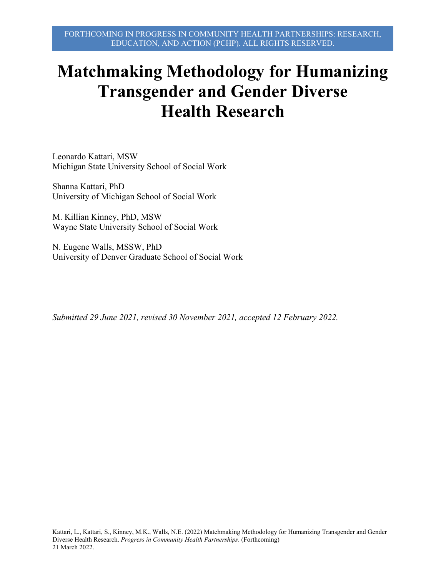# **Matchmaking Methodology for Humanizing Transgender and Gender Diverse Health Research**

Leonardo Kattari, MSW Michigan State University School of Social Work

Shanna Kattari, PhD University of Michigan School of Social Work

M. Killian Kinney, PhD, MSW Wayne State University School of Social Work

N. Eugene Walls, MSSW, PhD University of Denver Graduate School of Social Work

*Submitted 29 June 2021, revised 30 November 2021, accepted 12 February 2022.*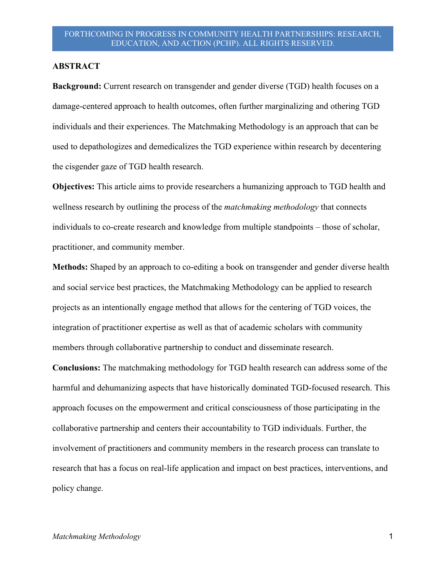# **ABSTRACT**

**Background:** Current research on transgender and gender diverse (TGD) health focuses on a damage-centered approach to health outcomes, often further marginalizing and othering TGD individuals and their experiences. The Matchmaking Methodology is an approach that can be used to depathologizes and demedicalizes the TGD experience within research by decentering the cisgender gaze of TGD health research.

**Objectives:** This article aims to provide researchers a humanizing approach to TGD health and wellness research by outlining the process of the *matchmaking methodology* that connects individuals to co-create research and knowledge from multiple standpoints – those of scholar, practitioner, and community member.

**Methods:** Shaped by an approach to co-editing a book on transgender and gender diverse health and social service best practices, the Matchmaking Methodology can be applied to research projects as an intentionally engage method that allows for the centering of TGD voices, the integration of practitioner expertise as well as that of academic scholars with community members through collaborative partnership to conduct and disseminate research.

**Conclusions:** The matchmaking methodology for TGD health research can address some of the harmful and dehumanizing aspects that have historically dominated TGD-focused research. This approach focuses on the empowerment and critical consciousness of those participating in the collaborative partnership and centers their accountability to TGD individuals. Further, the involvement of practitioners and community members in the research process can translate to research that has a focus on real-life application and impact on best practices, interventions, and policy change.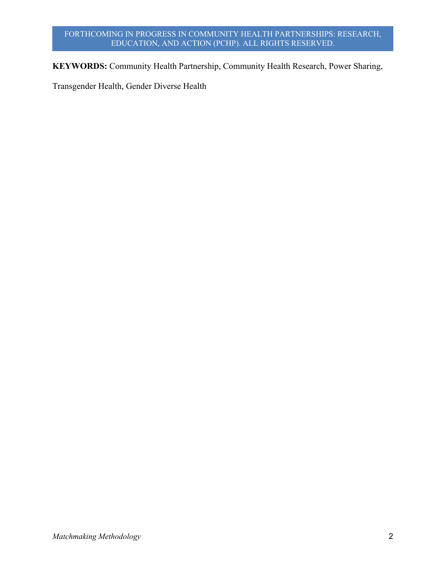**KEYWORDS:** Community Health Partnership, Community Health Research, Power Sharing,

Transgender Health, Gender Diverse Health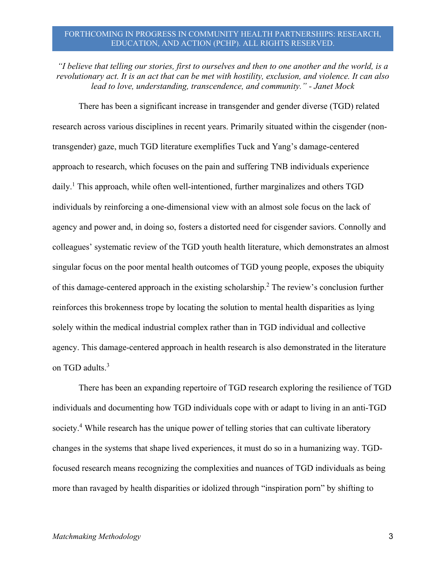*"I believe that telling our stories, first to ourselves and then to one another and the world, is a revolutionary act. It is an act that can be met with hostility, exclusion, and violence. It can also lead to love, understanding, transcendence, and community." - Janet Mock*

There has been a significant increase in transgender and gender diverse (TGD) related research across various disciplines in recent years. Primarily situated within the cisgender (nontransgender) gaze, much TGD literature exemplifies Tuck and Yang's damage-centered approach to research, which focuses on the pain and suffering TNB individuals experience daily. <sup>1</sup> This approach, while often well-intentioned, further marginalizes and others TGD individuals by reinforcing a one-dimensional view with an almost sole focus on the lack of agency and power and, in doing so, fosters a distorted need for cisgender saviors. Connolly and colleagues' systematic review of the TGD youth health literature, which demonstrates an almost singular focus on the poor mental health outcomes of TGD young people, exposes the ubiquity of this damage-centered approach in the existing scholarship.<sup>2</sup> The review's conclusion further reinforces this brokenness trope by locating the solution to mental health disparities as lying solely within the medical industrial complex rather than in TGD individual and collective agency. This damage-centered approach in health research is also demonstrated in the literature on TGD adults. 3

There has been an expanding repertoire of TGD research exploring the resilience of TGD individuals and documenting how TGD individuals cope with or adapt to living in an anti-TGD society.<sup>4</sup> While research has the unique power of telling stories that can cultivate liberatory changes in the systems that shape lived experiences, it must do so in a humanizing way. TGDfocused research means recognizing the complexities and nuances of TGD individuals as being more than ravaged by health disparities or idolized through "inspiration porn" by shifting to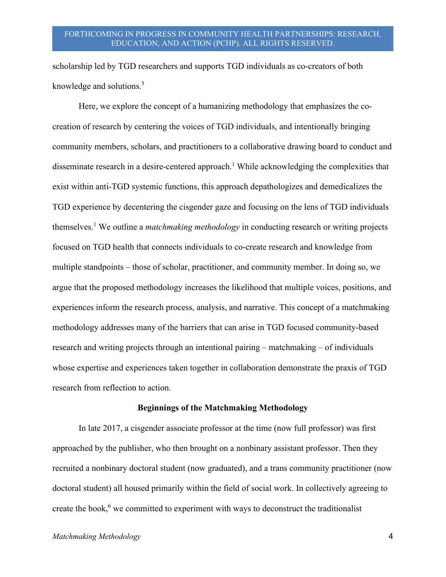scholarship led by TGD researchers and supports TGD individuals as co-creators of both knowledge and solutions.<sup>5</sup>

Here, we explore the concept of a humanizing methodology that emphasizes the cocreation of research by centering the voices of TGD individuals, and intentionally bringing community members, scholars, and practitioners to a collaborative drawing board to conduct and disseminate research in a desire-centered approach.<sup>1</sup> While acknowledging the complexities that exist within anti-TGD systemic functions, this approach depathologizes and demedicalizes the TGD experience by decentering the cisgender gaze and focusing on the lens of TGD individuals themselves. <sup>1</sup> We outline a *matchmaking methodology* in conducting research or writing projects focused on TGD health that connects individuals to co-create research and knowledge from multiple standpoints – those of scholar, practitioner, and community member. In doing so, we argue that the proposed methodology increases the likelihood that multiple voices, positions, and experiences inform the research process, analysis, and narrative. This concept of a matchmaking methodology addresses many of the barriers that can arise in TGD focused community-based research and writing projects through an intentional pairing – matchmaking – of individuals whose expertise and experiences taken together in collaboration demonstrate the praxis of TGD research from reflection to action.

#### **Beginnings of the Matchmaking Methodology**

In late 2017, a cisgender associate professor at the time (now full professor) was first approached by the publisher, who then brought on a nonbinary assistant professor. Then they recruited a nonbinary doctoral student (now graduated), and a trans community practitioner (now doctoral student) all housed primarily within the field of social work. In collectively agreeing to create the book, <sup>6</sup> we committed to experiment with ways to deconstruct the traditionalist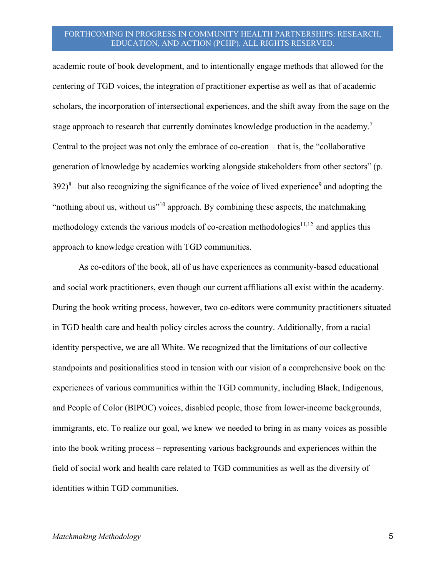academic route of book development, and to intentionally engage methods that allowed for the centering of TGD voices, the integration of practitioner expertise as well as that of academic scholars, the incorporation of intersectional experiences, and the shift away from the sage on the stage approach to research that currently dominates knowledge production in the academy.<sup>7</sup> Central to the project was not only the embrace of co-creation – that is, the "collaborative generation of knowledge by academics working alongside stakeholders from other sectors" (p.  $392)^{8}$  but also recognizing the significance of the voice of lived experience<sup>9</sup> and adopting the "nothing about us, without us"<sup>10</sup> approach. By combining these aspects, the matchmaking methodology extends the various models of co-creation methodologies<sup>11,12</sup> and applies this approach to knowledge creation with TGD communities.

As co-editors of the book, all of us have experiences as community-based educational and social work practitioners, even though our current affiliations all exist within the academy. During the book writing process, however, two co-editors were community practitioners situated in TGD health care and health policy circles across the country. Additionally, from a racial identity perspective, we are all White. We recognized that the limitations of our collective standpoints and positionalities stood in tension with our vision of a comprehensive book on the experiences of various communities within the TGD community, including Black, Indigenous, and People of Color (BIPOC) voices, disabled people, those from lower-income backgrounds, immigrants, etc. To realize our goal, we knew we needed to bring in as many voices as possible into the book writing process – representing various backgrounds and experiences within the field of social work and health care related to TGD communities as well as the diversity of identities within TGD communities.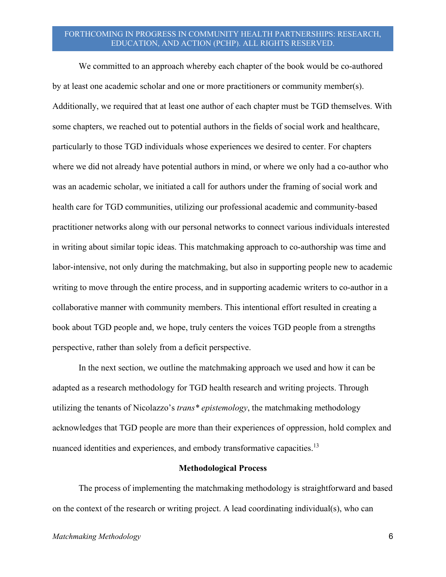We committed to an approach whereby each chapter of the book would be co-authored by at least one academic scholar and one or more practitioners or community member(s). Additionally, we required that at least one author of each chapter must be TGD themselves. With some chapters, we reached out to potential authors in the fields of social work and healthcare, particularly to those TGD individuals whose experiences we desired to center. For chapters where we did not already have potential authors in mind, or where we only had a co-author who was an academic scholar, we initiated a call for authors under the framing of social work and health care for TGD communities, utilizing our professional academic and community-based practitioner networks along with our personal networks to connect various individuals interested in writing about similar topic ideas. This matchmaking approach to co-authorship was time and labor-intensive, not only during the matchmaking, but also in supporting people new to academic writing to move through the entire process, and in supporting academic writers to co-author in a collaborative manner with community members. This intentional effort resulted in creating a book about TGD people and, we hope, truly centers the voices TGD people from a strengths perspective, rather than solely from a deficit perspective.

In the next section, we outline the matchmaking approach we used and how it can be adapted as a research methodology for TGD health research and writing projects. Through utilizing the tenants of Nicolazzo's *trans\* epistemology*, the matchmaking methodology acknowledges that TGD people are more than their experiences of oppression, hold complex and nuanced identities and experiences, and embody transformative capacities.<sup>13</sup>

#### **Methodological Process**

The process of implementing the matchmaking methodology is straightforward and based on the context of the research or writing project. A lead coordinating individual(s), who can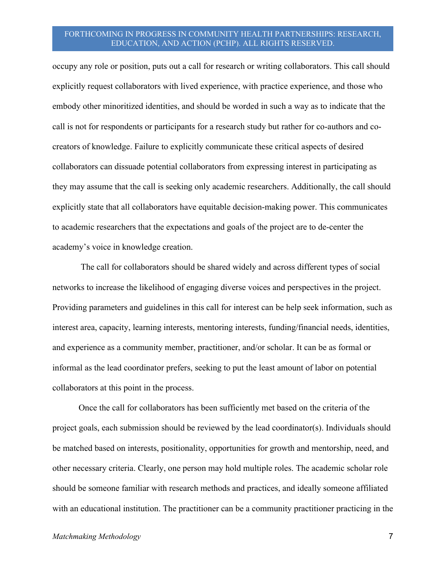occupy any role or position, puts out a call for research or writing collaborators. This call should explicitly request collaborators with lived experience, with practice experience, and those who embody other minoritized identities, and should be worded in such a way as to indicate that the call is not for respondents or participants for a research study but rather for co-authors and cocreators of knowledge. Failure to explicitly communicate these critical aspects of desired collaborators can dissuade potential collaborators from expressing interest in participating as they may assume that the call is seeking only academic researchers. Additionally, the call should explicitly state that all collaborators have equitable decision-making power. This communicates to academic researchers that the expectations and goals of the project are to de-center the academy's voice in knowledge creation.

The call for collaborators should be shared widely and across different types of social networks to increase the likelihood of engaging diverse voices and perspectives in the project. Providing parameters and guidelines in this call for interest can be help seek information, such as interest area, capacity, learning interests, mentoring interests, funding/financial needs, identities, and experience as a community member, practitioner, and/or scholar. It can be as formal or informal as the lead coordinator prefers, seeking to put the least amount of labor on potential collaborators at this point in the process.

Once the call for collaborators has been sufficiently met based on the criteria of the project goals, each submission should be reviewed by the lead coordinator(s). Individuals should be matched based on interests, positionality, opportunities for growth and mentorship, need, and other necessary criteria. Clearly, one person may hold multiple roles. The academic scholar role should be someone familiar with research methods and practices, and ideally someone affiliated with an educational institution. The practitioner can be a community practitioner practicing in the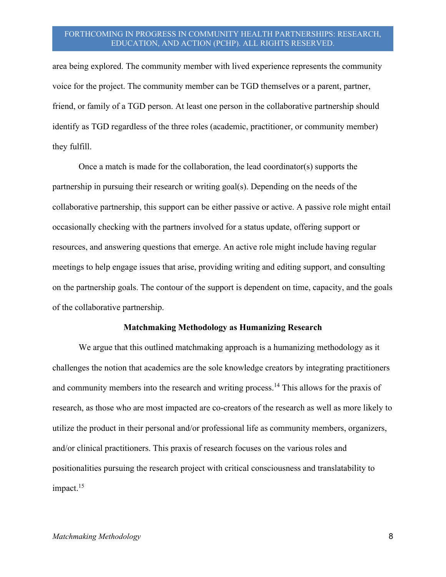area being explored. The community member with lived experience represents the community voice for the project. The community member can be TGD themselves or a parent, partner, friend, or family of a TGD person. At least one person in the collaborative partnership should identify as TGD regardless of the three roles (academic, practitioner, or community member) they fulfill.

Once a match is made for the collaboration, the lead coordinator(s) supports the partnership in pursuing their research or writing goal(s). Depending on the needs of the collaborative partnership, this support can be either passive or active. A passive role might entail occasionally checking with the partners involved for a status update, offering support or resources, and answering questions that emerge. An active role might include having regular meetings to help engage issues that arise, providing writing and editing support, and consulting on the partnership goals. The contour of the support is dependent on time, capacity, and the goals of the collaborative partnership.

#### **Matchmaking Methodology as Humanizing Research**

We argue that this outlined matchmaking approach is a humanizing methodology as it challenges the notion that academics are the sole knowledge creators by integrating practitioners and community members into the research and writing process.<sup>14</sup> This allows for the praxis of research, as those who are most impacted are co-creators of the research as well as more likely to utilize the product in their personal and/or professional life as community members, organizers, and/or clinical practitioners. This praxis of research focuses on the various roles and positionalities pursuing the research project with critical consciousness and translatability to impact. 15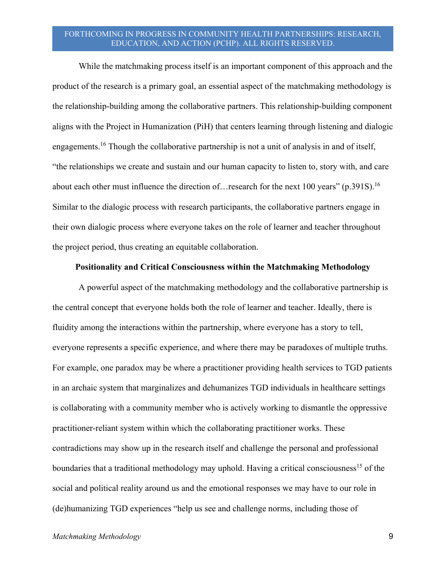While the matchmaking process itself is an important component of this approach and the product of the research is a primary goal, an essential aspect of the matchmaking methodology is the relationship-building among the collaborative partners. This relationship-building component aligns with the Project in Humanization (PiH) that centers learning through listening and dialogic engagements.<sup>16</sup> Though the collaborative partnership is not a unit of analysis in and of itself, "the relationships we create and sustain and our human capacity to listen to, story with, and care about each other must influence the direction of...research for the next 100 years" (p.391S).<sup>16</sup> Similar to the dialogic process with research participants, the collaborative partners engage in their own dialogic process where everyone takes on the role of learner and teacher throughout the project period, thus creating an equitable collaboration.

#### **Positionality and Critical Consciousness within the Matchmaking Methodology**

A powerful aspect of the matchmaking methodology and the collaborative partnership is the central concept that everyone holds both the role of learner and teacher. Ideally, there is fluidity among the interactions within the partnership, where everyone has a story to tell, everyone represents a specific experience, and where there may be paradoxes of multiple truths. For example, one paradox may be where a practitioner providing health services to TGD patients in an archaic system that marginalizes and dehumanizes TGD individuals in healthcare settings is collaborating with a community member who is actively working to dismantle the oppressive practitioner-reliant system within which the collaborating practitioner works. These contradictions may show up in the research itself and challenge the personal and professional boundaries that a traditional methodology may uphold. Having a critical consciousness<sup>15</sup> of the social and political reality around us and the emotional responses we may have to our role in (de)humanizing TGD experiences "help us see and challenge norms, including those of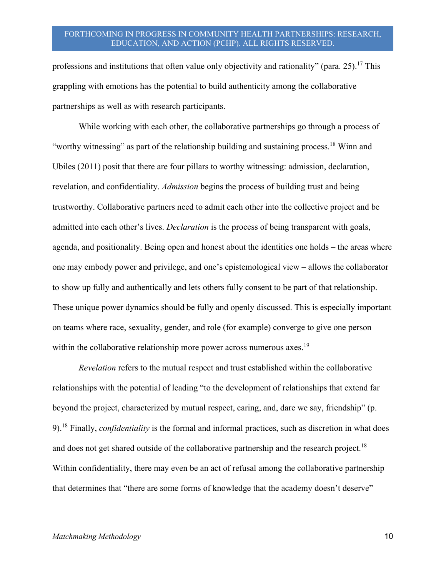professions and institutions that often value only objectivity and rationality" (para. 25).<sup>17</sup> This grappling with emotions has the potential to build authenticity among the collaborative partnerships as well as with research participants.

While working with each other, the collaborative partnerships go through a process of "worthy witnessing" as part of the relationship building and sustaining process.<sup>18</sup> Winn and Ubiles (2011) posit that there are four pillars to worthy witnessing: admission, declaration, revelation, and confidentiality. *Admission* begins the process of building trust and being trustworthy. Collaborative partners need to admit each other into the collective project and be admitted into each other's lives. *Declaration* is the process of being transparent with goals, agenda, and positionality. Being open and honest about the identities one holds – the areas where one may embody power and privilege, and one's epistemological view – allows the collaborator to show up fully and authentically and lets others fully consent to be part of that relationship. These unique power dynamics should be fully and openly discussed. This is especially important on teams where race, sexuality, gender, and role (for example) converge to give one person within the collaborative relationship more power across numerous axes.<sup>19</sup>

*Revelation* refers to the mutual respect and trust established within the collaborative relationships with the potential of leading "to the development of relationships that extend far beyond the project, characterized by mutual respect, caring, and, dare we say, friendship" (p. 9). <sup>18</sup> Finally, *confidentiality* is the formal and informal practices, such as discretion in what does and does not get shared outside of the collaborative partnership and the research project.<sup>18</sup> Within confidentiality, there may even be an act of refusal among the collaborative partnership that determines that "there are some forms of knowledge that the academy doesn't deserve"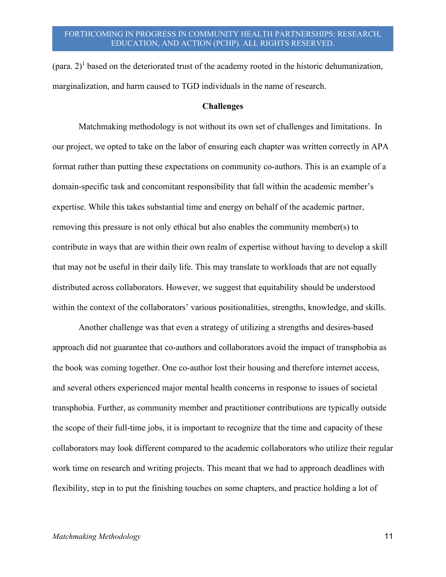(para.  $2$ )<sup>1</sup> based on the deteriorated trust of the academy rooted in the historic dehumanization, marginalization, and harm caused to TGD individuals in the name of research.

#### **Challenges**

Matchmaking methodology is not without its own set of challenges and limitations. In our project, we opted to take on the labor of ensuring each chapter was written correctly in APA format rather than putting these expectations on community co-authors. This is an example of a domain-specific task and concomitant responsibility that fall within the academic member's expertise. While this takes substantial time and energy on behalf of the academic partner, removing this pressure is not only ethical but also enables the community member(s) to contribute in ways that are within their own realm of expertise without having to develop a skill that may not be useful in their daily life. This may translate to workloads that are not equally distributed across collaborators. However, we suggest that equitability should be understood within the context of the collaborators' various positionalities, strengths, knowledge, and skills.

Another challenge was that even a strategy of utilizing a strengths and desires-based approach did not guarantee that co-authors and collaborators avoid the impact of transphobia as the book was coming together. One co-author lost their housing and therefore internet access, and several others experienced major mental health concerns in response to issues of societal transphobia. Further, as community member and practitioner contributions are typically outside the scope of their full-time jobs, it is important to recognize that the time and capacity of these collaborators may look different compared to the academic collaborators who utilize their regular work time on research and writing projects. This meant that we had to approach deadlines with flexibility, step in to put the finishing touches on some chapters, and practice holding a lot of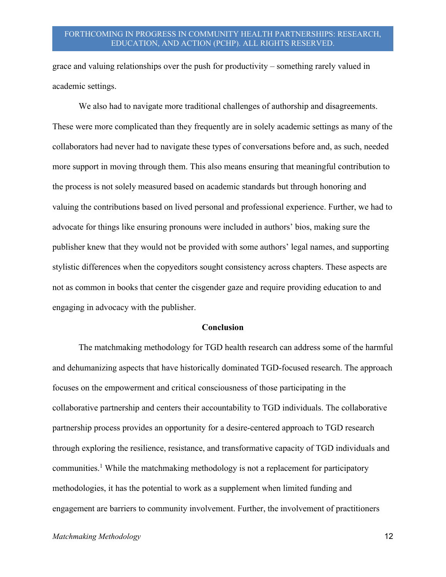grace and valuing relationships over the push for productivity – something rarely valued in academic settings.

We also had to navigate more traditional challenges of authorship and disagreements. These were more complicated than they frequently are in solely academic settings as many of the collaborators had never had to navigate these types of conversations before and, as such, needed more support in moving through them. This also means ensuring that meaningful contribution to the process is not solely measured based on academic standards but through honoring and valuing the contributions based on lived personal and professional experience. Further, we had to advocate for things like ensuring pronouns were included in authors' bios, making sure the publisher knew that they would not be provided with some authors' legal names, and supporting stylistic differences when the copyeditors sought consistency across chapters. These aspects are not as common in books that center the cisgender gaze and require providing education to and engaging in advocacy with the publisher.

#### **Conclusion**

The matchmaking methodology for TGD health research can address some of the harmful and dehumanizing aspects that have historically dominated TGD-focused research. The approach focuses on the empowerment and critical consciousness of those participating in the collaborative partnership and centers their accountability to TGD individuals. The collaborative partnership process provides an opportunity for a desire-centered approach to TGD research through exploring the resilience, resistance, and transformative capacity of TGD individuals and communities.<sup>1</sup> While the matchmaking methodology is not a replacement for participatory methodologies, it has the potential to work as a supplement when limited funding and engagement are barriers to community involvement. Further, the involvement of practitioners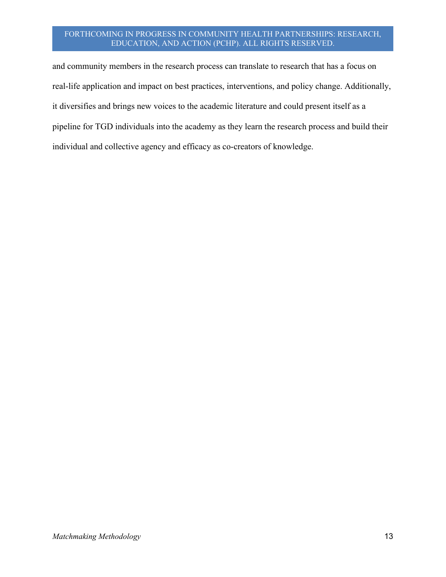and community members in the research process can translate to research that has a focus on real-life application and impact on best practices, interventions, and policy change. Additionally, it diversifies and brings new voices to the academic literature and could present itself as a pipeline for TGD individuals into the academy as they learn the research process and build their individual and collective agency and efficacy as co-creators of knowledge.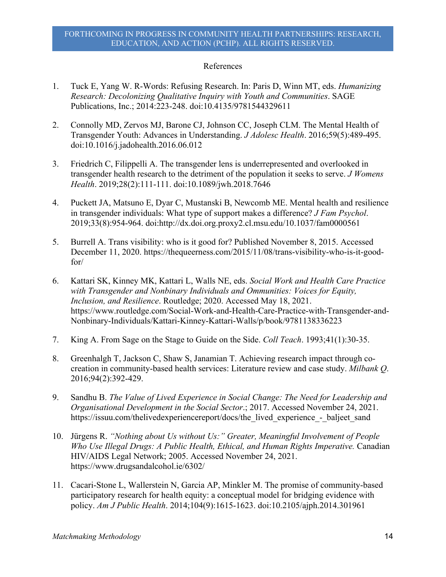# References

- 1. Tuck E, Yang W. R-Words: Refusing Research. In: Paris D, Winn MT, eds. *Humanizing Research: Decolonizing Qualitative Inquiry with Youth and Communities*. SAGE Publications, Inc.; 2014:223-248. doi:10.4135/9781544329611
- 2. Connolly MD, Zervos MJ, Barone CJ, Johnson CC, Joseph CLM. The Mental Health of Transgender Youth: Advances in Understanding. *J Adolesc Health*. 2016;59(5):489-495. doi:10.1016/j.jadohealth.2016.06.012
- 3. Friedrich C, Filippelli A. The transgender lens is underrepresented and overlooked in transgender health research to the detriment of the population it seeks to serve. *J Womens Health*. 2019;28(2):111-111. doi:10.1089/jwh.2018.7646
- 4. Puckett JA, Matsuno E, Dyar C, Mustanski B, Newcomb ME. Mental health and resilience in transgender individuals: What type of support makes a difference? *J Fam Psychol*. 2019;33(8):954-964. doi:http://dx.doi.org.proxy2.cl.msu.edu/10.1037/fam0000561
- 5. Burrell A. Trans visibility: who is it good for? Published November 8, 2015. Accessed December 11, 2020. https://thequeerness.com/2015/11/08/trans-visibility-who-is-it-goodfor/
- 6. Kattari SK, Kinney MK, Kattari L, Walls NE, eds. *Social Work and Health Care Practice with Transgender and Nonbinary Individuals and Ommunities: Voices for Equity, Inclusion, and Resilience*. Routledge; 2020. Accessed May 18, 2021. https://www.routledge.com/Social-Work-and-Health-Care-Practice-with-Transgender-and-Nonbinary-Individuals/Kattari-Kinney-Kattari-Walls/p/book/9781138336223
- 7. King A. From Sage on the Stage to Guide on the Side. *Coll Teach*. 1993;41(1):30-35.
- 8. Greenhalgh T, Jackson C, Shaw S, Janamian T. Achieving research impact through cocreation in community-based health services: Literature review and case study. *Milbank Q*. 2016;94(2):392-429.
- 9. Sandhu B. *The Value of Lived Experience in Social Change: The Need for Leadership and Organisational Development in the Social Sector*.; 2017. Accessed November 24, 2021. https://issuu.com/thelivedexperiencereport/docs/the\_lived\_experience\_-\_baljeet\_sand
- 10. Jürgens R. *"Nothing about Us without Us:" Greater, Meaningful Involvement of People Who Use Illegal Drugs: A Public Health, Ethical, and Human Rights Imperative.* Canadian HIV/AIDS Legal Network; 2005. Accessed November 24, 2021. https://www.drugsandalcohol.ie/6302/
- 11. Cacari-Stone L, Wallerstein N, Garcia AP, Minkler M. The promise of community-based participatory research for health equity: a conceptual model for bridging evidence with policy. *Am J Public Health*. 2014;104(9):1615-1623. doi:10.2105/ajph.2014.301961